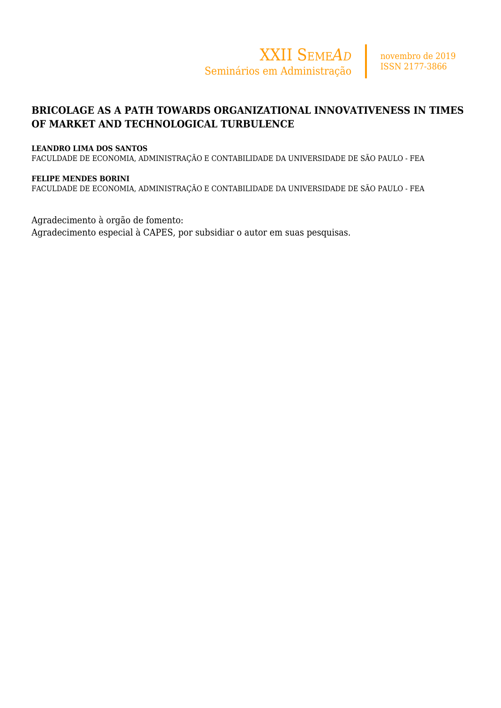### **BRICOLAGE AS A PATH TOWARDS ORGANIZATIONAL INNOVATIVENESS IN TIMES OF MARKET AND TECHNOLOGICAL TURBULENCE**

#### **LEANDRO LIMA DOS SANTOS**

FACULDADE DE ECONOMIA, ADMINISTRAÇÃO E CONTABILIDADE DA UNIVERSIDADE DE SÃO PAULO - FEA

#### **FELIPE MENDES BORINI**

FACULDADE DE ECONOMIA, ADMINISTRAÇÃO E CONTABILIDADE DA UNIVERSIDADE DE SÃO PAULO - FEA

Agradecimento à orgão de fomento:

Agradecimento especial à CAPES, por subsidiar o autor em suas pesquisas.